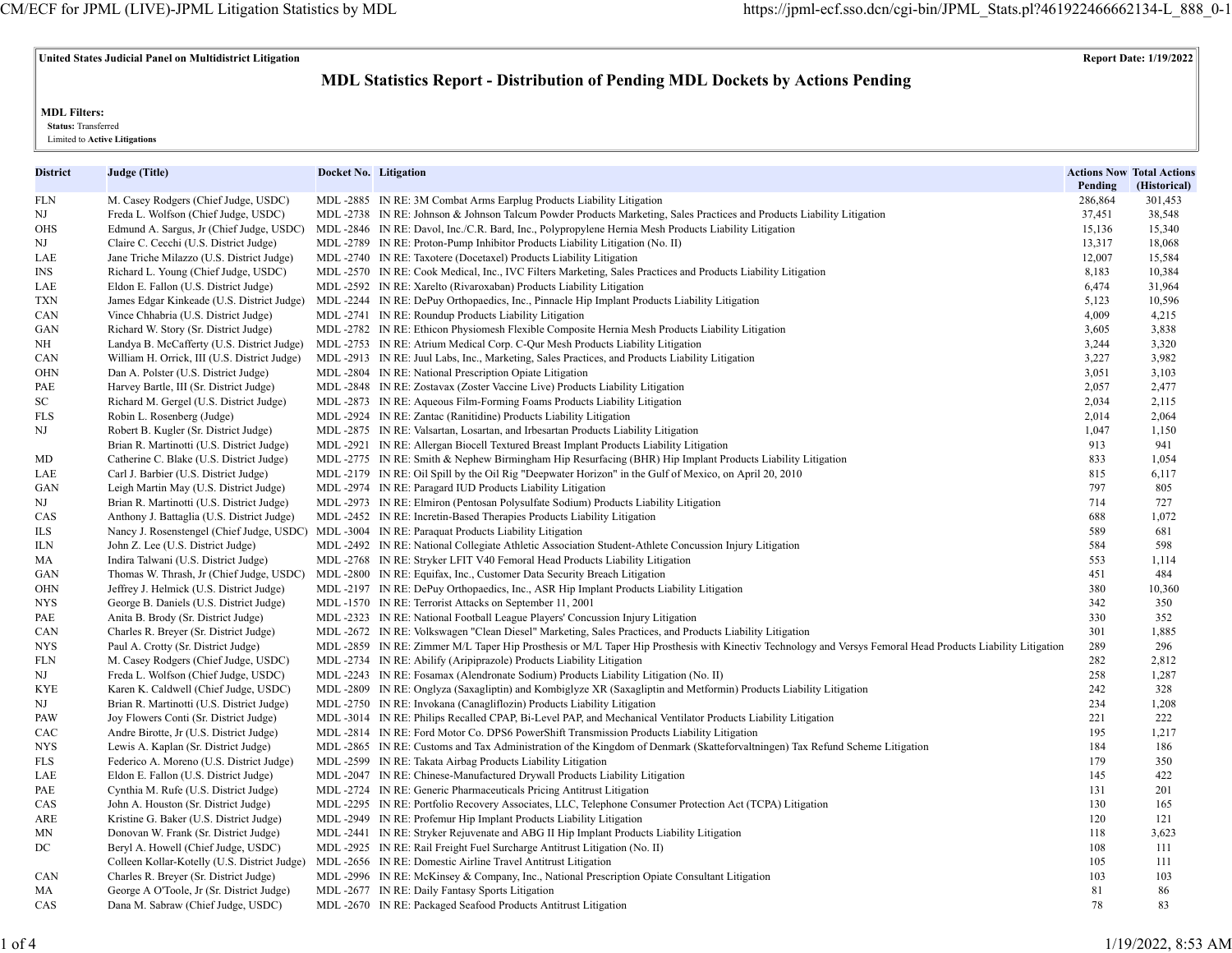# **United States Judicial Panel on Multidistrict Litigation Report Date: 1/19/2022**

# **MDL Statistics Report - Distribution of Pending MDL Dockets by Actions Pending**

**MDL Filters:**

 **Status:** Transferred

Limited to **Active Litigations**

| District | Judge (Title)                                | Docket No. Litigation |                                                                                                                                                            | Pending | <b>Actions Now Total Actions</b><br>(Historical) |
|----------|----------------------------------------------|-----------------------|------------------------------------------------------------------------------------------------------------------------------------------------------------|---------|--------------------------------------------------|
| FLN      | M. Casey Rodgers (Chief Judge, USDC)         |                       | MDL -2885 IN RE: 3M Combat Arms Earplug Products Liability Litigation                                                                                      | 286,864 | 301,453                                          |
| NJ       | Freda L. Wolfson (Chief Judge, USDC)         |                       | MDL-2738 IN RE: Johnson & Johnson Talcum Powder Products Marketing, Sales Practices and Products Liability Litigation                                      | 37,451  | 38,548                                           |
| OHS      | Edmund A. Sargus, Jr (Chief Judge, USDC)     |                       | MDL-2846 IN RE: Davol, Inc./C.R. Bard, Inc., Polypropylene Hernia Mesh Products Liability Litigation                                                       | 15,136  | 15,340                                           |
| NJ       | Claire C. Cecchi (U.S. District Judge)       |                       | MDL-2789 IN RE: Proton-Pump Inhibitor Products Liability Litigation (No. II)                                                                               | 13,317  | 18,068                                           |
| LAE      | Jane Triche Milazzo (U.S. District Judge)    |                       | MDL-2740 IN RE: Taxotere (Docetaxel) Products Liability Litigation                                                                                         | 12,007  | 15,584                                           |
| INS      | Richard L. Young (Chief Judge, USDC)         |                       | MDL-2570 IN RE: Cook Medical, Inc., IVC Filters Marketing, Sales Practices and Products Liability Litigation                                               | 8,183   | 10,384                                           |
| LAE      | Eldon E. Fallon (U.S. District Judge)        |                       | MDL -2592 IN RE: Xarelto (Rivaroxaban) Products Liability Litigation                                                                                       | 6,474   | 31,964                                           |
| TXN      | James Edgar Kinkeade (U.S. District Judge)   |                       | MDL -2244 IN RE: DePuy Orthopaedics, Inc., Pinnacle Hip Implant Products Liability Litigation                                                              | 5,123   | 10,596                                           |
| CAN      | Vince Chhabria (U.S. District Judge)         |                       | MDL -2741 IN RE: Roundup Products Liability Litigation                                                                                                     | 4,009   | 4,215                                            |
| GAN      | Richard W. Story (Sr. District Judge)        |                       | MDL-2782 IN RE: Ethicon Physiomesh Flexible Composite Hernia Mesh Products Liability Litigation                                                            | 3,605   | 3,838                                            |
| NΗ       | Landya B. McCafferty (U.S. District Judge)   |                       | MDL -2753 IN RE: Atrium Medical Corp. C-Qur Mesh Products Liability Litigation                                                                             | 3,244   | 3,320                                            |
| CAN      | William H. Orrick, III (U.S. District Judge) |                       | MDL-2913 IN RE: Juul Labs, Inc., Marketing, Sales Practices, and Products Liability Litigation                                                             | 3,227   | 3,982                                            |
| OHN      | Dan A. Polster (U.S. District Judge)         |                       | MDL -2804 IN RE: National Prescription Opiate Litigation                                                                                                   | 3,051   | 3,103                                            |
| PAE      | Harvey Bartle, III (Sr. District Judge)      |                       | MDL -2848 IN RE: Zostavax (Zoster Vaccine Live) Products Liability Litigation                                                                              | 2,057   | 2,477                                            |
| SC       | Richard M. Gergel (U.S. District Judge)      |                       | MDL -2873 IN RE: Aqueous Film-Forming Foams Products Liability Litigation                                                                                  | 2,034   | 2,115                                            |
| FLS      | Robin L. Rosenberg (Judge)                   |                       | MDL -2924 IN RE: Zantac (Ranitidine) Products Liability Litigation                                                                                         | 2,014   | 2,064                                            |
| NJ       | Robert B. Kugler (Sr. District Judge)        |                       | MDL-2875 IN RE: Valsartan, Losartan, and Irbesartan Products Liability Litigation                                                                          | 1,047   | 1,150                                            |
|          | Brian R. Martinotti (U.S. District Judge)    |                       | MDL-2921 IN RE: Allergan Biocell Textured Breast Implant Products Liability Litigation                                                                     | 913     | 941                                              |
| MD       | Catherine C. Blake (U.S. District Judge)     |                       | MDL-2775 IN RE: Smith & Nephew Birmingham Hip Resurfacing (BHR) Hip Implant Products Liability Litigation                                                  | 833     | 1,054                                            |
| LAE      | Carl J. Barbier (U.S. District Judge)        |                       | MDL-2179 IN RE: Oil Spill by the Oil Rig "Deepwater Horizon" in the Gulf of Mexico, on April 20, 2010                                                      | 815     | 6,117                                            |
| GAN      | Leigh Martin May (U.S. District Judge)       |                       | MDL-2974 IN RE: Paragard IUD Products Liability Litigation                                                                                                 | 797     | 805                                              |
| NJ       | Brian R. Martinotti (U.S. District Judge)    |                       | MDL-2973 IN RE: Elmiron (Pentosan Polysulfate Sodium) Products Liability Litigation                                                                        | 714     | 727                                              |
| CAS      | Anthony J. Battaglia (U.S. District Judge)   |                       | MDL-2452 IN RE: Incretin-Based Therapies Products Liability Litigation                                                                                     | 688     | 1,072                                            |
| ILS      |                                              |                       | Nancy J. Rosenstengel (Chief Judge, USDC) MDL -3004 IN RE: Paraquat Products Liability Litigation                                                          | 589     | 681                                              |
| ILΝ      | John Z. Lee (U.S. District Judge)            |                       | MDL-2492 IN RE: National Collegiate Athletic Association Student-Athlete Concussion Injury Litigation                                                      | 584     | 598                                              |
| MA       | Indira Talwani (U.S. District Judge)         |                       | MDL -2768 IN RE: Stryker LFIT V40 Femoral Head Products Liability Litigation                                                                               | 553     | 1,114                                            |
| GAN      | Thomas W. Thrash, Jr (Chief Judge, USDC)     |                       | MDL -2800 IN RE: Equifax, Inc., Customer Data Security Breach Litigation                                                                                   | 451     | 484                                              |
| OHN      | Jeffrey J. Helmick (U.S. District Judge)     |                       | MDL-2197 IN RE: DePuy Orthopaedics, Inc., ASR Hip Implant Products Liability Litigation                                                                    | 380     | 10,360                                           |
| NYS      | George B. Daniels (U.S. District Judge)      |                       | MDL-1570 IN RE: Terrorist Attacks on September 11, 2001                                                                                                    | 342     | 350                                              |
| PAE      | Anita B. Brody (Sr. District Judge)          |                       | MDL -2323 IN RE: National Football League Players' Concussion Injury Litigation                                                                            | 330     | 352                                              |
| CAN      | Charles R. Breyer (Sr. District Judge)       |                       | MDL-2672 IN RE: Volkswagen "Clean Diesel" Marketing, Sales Practices, and Products Liability Litigation                                                    | 301     | 1,885                                            |
| NYS      | Paul A. Crotty (Sr. District Judge)          |                       | MDL-2859 IN RE: Zimmer M/L Taper Hip Prosthesis or M/L Taper Hip Prosthesis with Kinectiv Technology and Versys Femoral Head Products Liability Litigation | 289     | 296                                              |
| FLN      | M. Casey Rodgers (Chief Judge, USDC)         |                       | MDL -2734 IN RE: Abilify (Aripiprazole) Products Liability Litigation                                                                                      | 282     | 2,812                                            |
| NJ       | Freda L. Wolfson (Chief Judge, USDC)         |                       | MDL-2243 IN RE: Fosamax (Alendronate Sodium) Products Liability Litigation (No. II)                                                                        | 258     | 1,287                                            |
| KYE      | Karen K. Caldwell (Chief Judge, USDC)        |                       | MDL-2809 IN RE: Onglyza (Saxagliptin) and Kombiglyze XR (Saxagliptin and Metformin) Products Liability Litigation                                          | 242     | 328                                              |
| NJ       | Brian R. Martinotti (U.S. District Judge)    |                       | MDL-2750 IN RE: Invokana (Canagliflozin) Products Liability Litigation                                                                                     | 234     | 1,208                                            |
| PAW      | Joy Flowers Conti (Sr. District Judge)       |                       | MDL -3014 IN RE: Philips Recalled CPAP, Bi-Level PAP, and Mechanical Ventilator Products Liability Litigation                                              | 221     | 222                                              |
| CAC      | Andre Birotte, Jr (U.S. District Judge)      |                       | MDL -2814 IN RE: Ford Motor Co. DPS6 PowerShift Transmission Products Liability Litigation                                                                 | 195     | 1,217                                            |
| NYS      | Lewis A. Kaplan (Sr. District Judge)         |                       | MDL-2865 IN RE: Customs and Tax Administration of the Kingdom of Denmark (Skatteforvaltningen) Tax Refund Scheme Litigation                                | 184     | 186                                              |
| FLS      | Federico A. Moreno (U.S. District Judge)     |                       | MDL-2599 IN RE: Takata Airbag Products Liability Litigation                                                                                                | 179     | 350                                              |
| LAE      | Eldon E. Fallon (U.S. District Judge)        |                       | MDL -2047 IN RE: Chinese-Manufactured Drywall Products Liability Litigation                                                                                | 145     | 422                                              |
| PAE      | Cynthia M. Rufe (U.S. District Judge)        |                       | MDL -2724 IN RE: Generic Pharmaceuticals Pricing Antitrust Litigation                                                                                      | 131     | 201                                              |
| CAS      | John A. Houston (Sr. District Judge)         |                       | MDL-2295 IN RE: Portfolio Recovery Associates, LLC, Telephone Consumer Protection Act (TCPA) Litigation                                                    | 130     | 165                                              |
| ARE      | Kristine G. Baker (U.S. District Judge)      |                       | MDL-2949 IN RE: Profemur Hip Implant Products Liability Litigation                                                                                         | 120     | 121                                              |
| MΝ       | Donovan W. Frank (Sr. District Judge)        |                       | MDL-2441 IN RE: Stryker Rejuvenate and ABG II Hip Implant Products Liability Litigation                                                                    | 118     | 3,623                                            |
| DC       | Beryl A. Howell (Chief Judge, USDC)          |                       | MDL -2925 IN RE: Rail Freight Fuel Surcharge Antitrust Litigation (No. II)                                                                                 | 108     | 111                                              |
|          | Colleen Kollar-Kotelly (U.S. District Judge) |                       | MDL-2656 IN RE: Domestic Airline Travel Antitrust Litigation                                                                                               | 105     | 111                                              |
| CAN      | Charles R. Breyer (Sr. District Judge)       |                       | MDL-2996 IN RE: McKinsey & Company, Inc., National Prescription Opiate Consultant Litigation                                                               | 103     | 103                                              |
| МA       | George A O'Toole, Jr (Sr. District Judge)    |                       | MDL -2677 IN RE: Daily Fantasy Sports Litigation                                                                                                           | 81      | 86                                               |
| CAS      | Dana M. Sabraw (Chief Judge, USDC)           |                       | MDL-2670 IN RE: Packaged Seafood Products Antitrust Litigation                                                                                             | 78      | 83                                               |
|          |                                              |                       |                                                                                                                                                            |         |                                                  |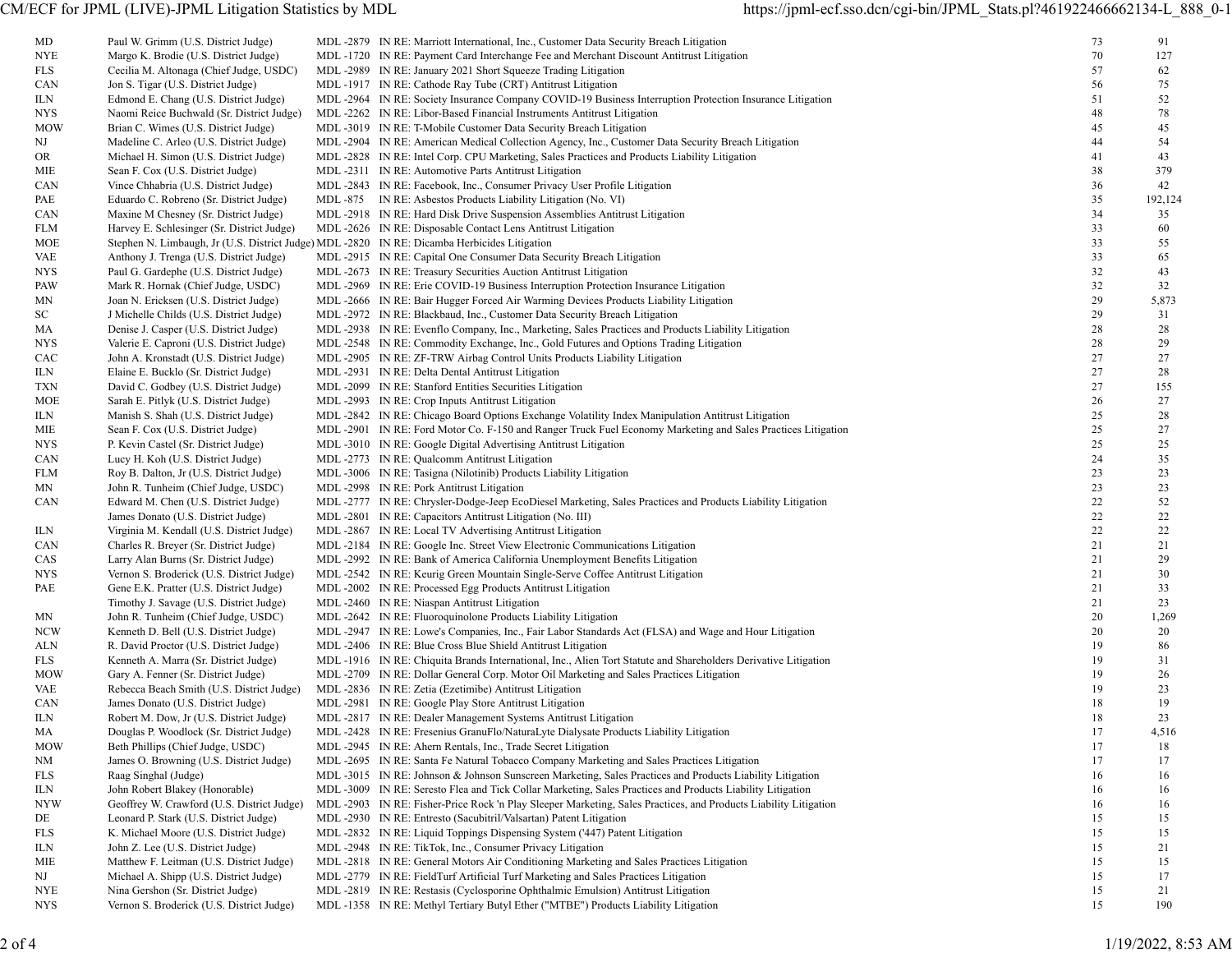| MD         | Paul W. Grimm (U.S. District Judge)                                                          | MDL -2879 IN RE: Marriott International, Inc., Customer Data Security Breach Litigation                         | 73 | 91      |
|------------|----------------------------------------------------------------------------------------------|-----------------------------------------------------------------------------------------------------------------|----|---------|
| NYE        | Margo K. Brodie (U.S. District Judge)                                                        | MDL-1720 IN RE: Payment Card Interchange Fee and Merchant Discount Antitrust Litigation                         | 70 | 127     |
| FLS        | Cecilia M. Altonaga (Chief Judge, USDC)                                                      | MDL -2989 IN RE: January 2021 Short Squeeze Trading Litigation                                                  | 57 | 62      |
| CAN        | Jon S. Tigar (U.S. District Judge)                                                           | MDL-1917 IN RE: Cathode Ray Tube (CRT) Antitrust Litigation                                                     | 56 | 75      |
| ILN.       | Edmond E. Chang (U.S. District Judge)                                                        | MDL-2964 IN RE: Society Insurance Company COVID-19 Business Interruption Protection Insurance Litigation        | 51 | 52      |
| NYS.       | Naomi Reice Buchwald (Sr. District Judge)                                                    | MDL -2262 IN RE: Libor-Based Financial Instruments Antitrust Litigation                                         | 48 | 78      |
| <b>MOW</b> | Brian C. Wimes (U.S. District Judge)                                                         | MDL -3019 IN RE: T-Mobile Customer Data Security Breach Litigation                                              | 45 | 45      |
| NJ         | Madeline C. Arleo (U.S. District Judge)                                                      | MDL-2904 IN RE: American Medical Collection Agency, Inc., Customer Data Security Breach Litigation              | 44 | 54      |
| OR.        | Michael H. Simon (U.S. District Judge)                                                       | MDL-2828 IN RE: Intel Corp. CPU Marketing, Sales Practices and Products Liability Litigation                    | 41 | 43      |
| MIE        | Sean F. Cox (U.S. District Judge)                                                            | MDL -2311 IN RE: Automotive Parts Antitrust Litigation                                                          | 38 | 379     |
| CAN        | Vince Chhabria (U.S. District Judge)                                                         | MDL -2843 IN RE: Facebook, Inc., Consumer Privacy User Profile Litigation                                       | 36 | 42      |
| PAE        | Eduardo C. Robreno (Sr. District Judge)                                                      | MDL -875 IN RE: Asbestos Products Liability Litigation (No. VI)                                                 | 35 | 192,124 |
| CAN        | Maxine M Chesney (Sr. District Judge)                                                        | MDL -2918 IN RE: Hard Disk Drive Suspension Assemblies Antitrust Litigation                                     | 34 | 35      |
| FLM        | Harvey E. Schlesinger (Sr. District Judge)                                                   | MDL -2626 IN RE: Disposable Contact Lens Antitrust Litigation                                                   | 33 | 60      |
| MOE        | Stephen N. Limbaugh, Jr (U.S. District Judge) MDL -2820 IN RE: Dicamba Herbicides Litigation |                                                                                                                 | 33 | 55      |
| VAE        | Anthony J. Trenga (U.S. District Judge)                                                      | MDL -2915 IN RE: Capital One Consumer Data Security Breach Litigation                                           | 33 | 65      |
| NYS        | Paul G. Gardephe (U.S. District Judge)                                                       | MDL -2673 IN RE: Treasury Securities Auction Antitrust Litigation                                               | 32 | 43      |
| PAW        | Mark R. Hornak (Chief Judge, USDC)                                                           | MDL-2969 IN RE: Erie COVID-19 Business Interruption Protection Insurance Litigation                             | 32 | 32      |
| MΝ         | Joan N. Ericksen (U.S. District Judge)                                                       | MDL -2666 IN RE: Bair Hugger Forced Air Warming Devices Products Liability Litigation                           | 29 | 5,873   |
| SC         | J Michelle Childs (U.S. District Judge)                                                      | MDL -2972 IN RE: Blackbaud, Inc., Customer Data Security Breach Litigation                                      | 29 | 31      |
| MA         | Denise J. Casper (U.S. District Judge)                                                       | MDL-2938 IN RE: Evenflo Company, Inc., Marketing, Sales Practices and Products Liability Litigation             | 28 | 28      |
| NYS.       | Valerie E. Caproni (U.S. District Judge)                                                     | MDL-2548 IN RE: Commodity Exchange, Inc., Gold Futures and Options Trading Litigation                           | 28 | 29      |
| CAC        | John A. Kronstadt (U.S. District Judge)                                                      | MDL -2905 IN RE: ZF-TRW Airbag Control Units Products Liability Litigation                                      | 27 | 27      |
| ILN        | Elaine E. Bucklo (Sr. District Judge)                                                        | MDL-2931 IN RE: Delta Dental Antitrust Litigation                                                               | 27 | 28      |
| TXN        | David C. Godbey (U.S. District Judge)                                                        | MDL-2099 IN RE: Stanford Entities Securities Litigation                                                         | 27 | 155     |
| MOE        | Sarah E. Pitlyk (U.S. District Judge)                                                        | MDL -2993 IN RE: Crop Inputs Antitrust Litigation                                                               | 26 | 27      |
| ILN        | Manish S. Shah (U.S. District Judge)                                                         | MDL-2842 IN RE: Chicago Board Options Exchange Volatility Index Manipulation Antitrust Litigation               | 25 | 28      |
| MIE        | Sean F. Cox (U.S. District Judge)                                                            | MDL-2901 IN RE: Ford Motor Co. F-150 and Ranger Truck Fuel Economy Marketing and Sales Practices Litigation     | 25 | 27      |
| NYS.       | P. Kevin Castel (Sr. District Judge)                                                         | MDL-3010 IN RE: Google Digital Advertising Antitrust Litigation                                                 | 25 | 25      |
| CAN        | Lucy H. Koh (U.S. District Judge)                                                            | MDL-2773 IN RE: Qualcomm Antitrust Litigation                                                                   | 24 | 35      |
| FLM        | Roy B. Dalton, Jr (U.S. District Judge)                                                      | MDL -3006 IN RE: Tasigna (Nilotinib) Products Liability Litigation                                              | 23 | 23      |
| MΝ         | John R. Tunheim (Chief Judge, USDC)                                                          | MDL -2998 IN RE: Pork Antitrust Litigation                                                                      | 23 | 23      |
| CAN        | Edward M. Chen (U.S. District Judge)                                                         | MDL-2777 IN RE: Chrysler-Dodge-Jeep EcoDiesel Marketing, Sales Practices and Products Liability Litigation      | 22 | 52      |
|            | James Donato (U.S. District Judge)                                                           | MDL -2801 IN RE: Capacitors Antitrust Litigation (No. III)                                                      | 22 | 22      |
| ILN        | Virginia M. Kendall (U.S. District Judge)                                                    | MDL -2867 IN RE: Local TV Advertising Antitrust Litigation                                                      | 22 | 22      |
| CAN        | Charles R. Breyer (Sr. District Judge)                                                       | MDL-2184 IN RE: Google Inc. Street View Electronic Communications Litigation                                    | 21 | 21      |
| CAS        | Larry Alan Burns (Sr. District Judge)                                                        | MDL -2992 IN RE: Bank of America California Unemployment Benefits Litigation                                    | 21 | 29      |
| NYS.       | Vernon S. Broderick (U.S. District Judge)                                                    | MDL-2542 IN RE: Keurig Green Mountain Single-Serve Coffee Antitrust Litigation                                  | 21 | 30      |
| PAE        | Gene E.K. Pratter (U.S. District Judge)                                                      | MDL -2002 IN RE: Processed Egg Products Antitrust Litigation                                                    | 21 | 33      |
|            | Timothy J. Savage (U.S. District Judge)                                                      | MDL -2460 IN RE: Niaspan Antitrust Litigation                                                                   | 21 | 23      |
| MN         | John R. Tunheim (Chief Judge, USDC)                                                          | MDL-2642 IN RE: Fluoroquinolone Products Liability Litigation                                                   | 20 | 1,269   |
| <b>NCW</b> | Kenneth D. Bell (U.S. District Judge)                                                        | MDL-2947 IN RE: Lowe's Companies, Inc., Fair Labor Standards Act (FLSA) and Wage and Hour Litigation            | 20 | 20      |
| ALN        | R. David Proctor (U.S. District Judge)                                                       | MDL -2406 IN RE: Blue Cross Blue Shield Antitrust Litigation                                                    | 19 | 86      |
| FLS        | Kenneth A. Marra (Sr. District Judge)                                                        | MDL-1916 IN RE: Chiquita Brands International, Inc., Alien Tort Statute and Shareholders Derivative Litigation  | 19 | 31      |
| <b>MOW</b> | Gary A. Fenner (Sr. District Judge)                                                          | MDL-2709 IN RE: Dollar General Corp. Motor Oil Marketing and Sales Practices Litigation                         | 19 | 26      |
| VAE        | Rebecca Beach Smith (U.S. District Judge)                                                    | MDL -2836 IN RE: Zetia (Ezetimibe) Antitrust Litigation                                                         | 19 | 23      |
| CAN        | James Donato (U.S. District Judge)                                                           | MDL -2981 IN RE: Google Play Store Antitrust Litigation                                                         | 18 | 19      |
| ILN        | Robert M. Dow, Jr (U.S. District Judge)                                                      | MDL -2817 IN RE: Dealer Management Systems Antitrust Litigation                                                 | 18 | 23      |
| МA         | Douglas P. Woodlock (Sr. District Judge)                                                     | MDL -2428 IN RE: Fresenius GranuFlo/NaturaLyte Dialysate Products Liability Litigation                          | 17 | 4,516   |
| <b>MOW</b> | Beth Phillips (Chief Judge, USDC)                                                            | MDL -2945 IN RE: Ahern Rentals, Inc., Trade Secret Litigation                                                   | 17 | 18      |
| NΜ         | James O. Browning (U.S. District Judge)                                                      | MDL-2695 IN RE: Santa Fe Natural Tobacco Company Marketing and Sales Practices Litigation                       | 17 | 17      |
| FLS        | Raag Singhal (Judge)                                                                         | MDL-3015 IN RE: Johnson & Johnson Sunscreen Marketing, Sales Practices and Products Liability Litigation        | 16 | 16      |
| ILN        | John Robert Blakey (Honorable)                                                               | MDL-3009 IN RE: Seresto Flea and Tick Collar Marketing, Sales Practices and Products Liability Litigation       | 16 | 16      |
| NYW        | Geoffrey W. Crawford (U.S. District Judge)                                                   | MDL-2903 IN RE: Fisher-Price Rock 'n Play Sleeper Marketing, Sales Practices, and Products Liability Litigation | 16 | 16      |
| DE         | Leonard P. Stark (U.S. District Judge)                                                       | MDL -2930 IN RE: Entresto (Sacubitril/Valsartan) Patent Litigation                                              | 15 | 15      |
| FLS        | K. Michael Moore (U.S. District Judge)                                                       | MDL -2832 IN RE: Liquid Toppings Dispensing System ('447) Patent Litigation                                     | 15 | 15      |
| ILN        | John Z. Lee (U.S. District Judge)                                                            | MDL -2948 IN RE: TikTok, Inc., Consumer Privacy Litigation                                                      | 15 | 21      |
| MIE        | Matthew F. Leitman (U.S. District Judge)                                                     | MDL-2818 IN RE: General Motors Air Conditioning Marketing and Sales Practices Litigation                        | 15 | 15      |
| NJ         | Michael A. Shipp (U.S. District Judge)                                                       | MDL-2779 IN RE: FieldTurf Artificial Turf Marketing and Sales Practices Litigation                              | 15 | 17      |
| NYE        | Nina Gershon (Sr. District Judge)                                                            | MDL -2819 IN RE: Restasis (Cyclosporine Ophthalmic Emulsion) Antitrust Litigation                               | 15 | 21      |
| NYS        | Vernon S. Broderick (U.S. District Judge)                                                    | MDL-1358 IN RE: Methyl Tertiary Butyl Ether ("MTBE") Products Liability Litigation                              | 15 | 190     |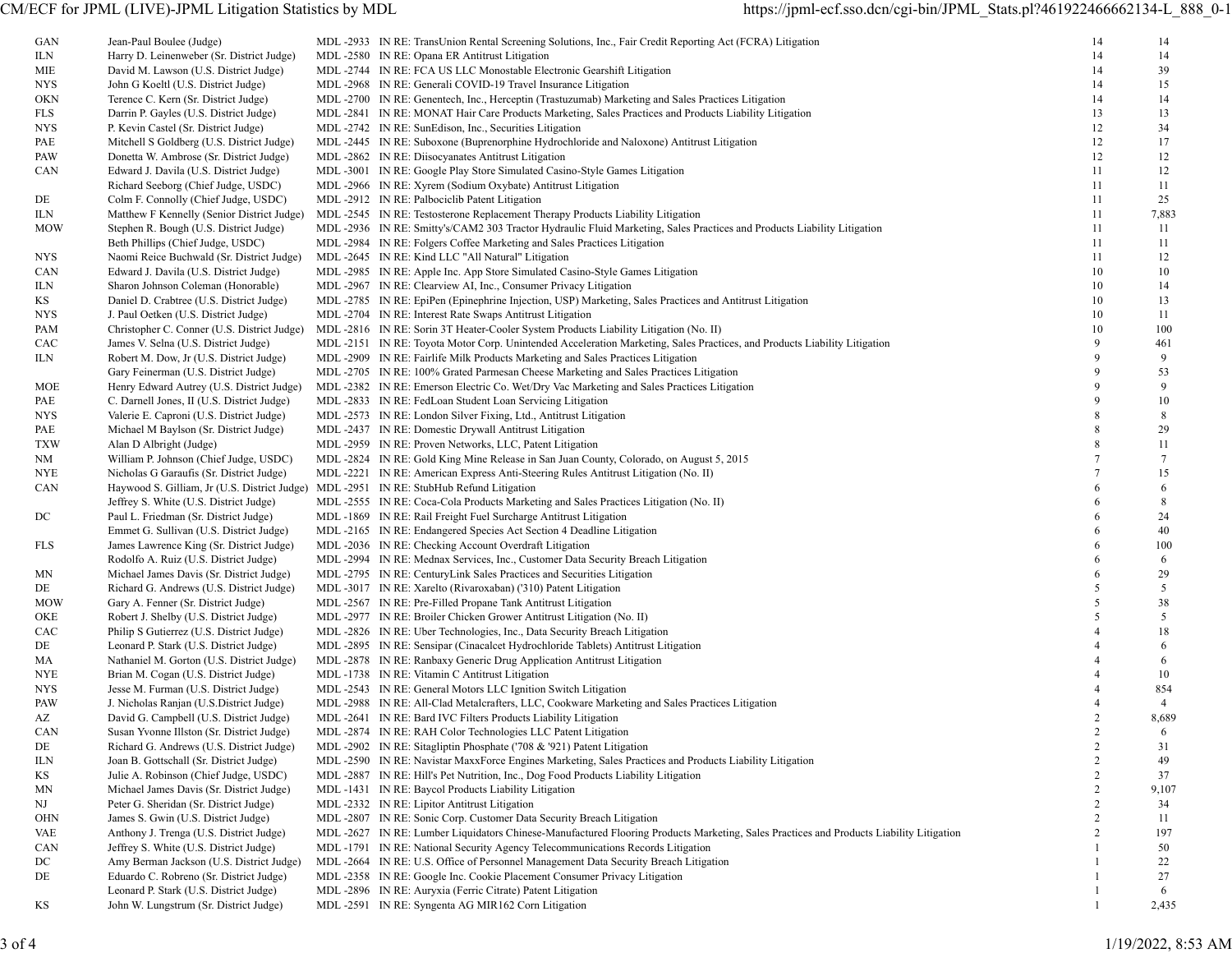| GAN        | Jean-Paul Boulee (Judge)                                                                | MDL -2933 IN RE: TransUnion Rental Screening Solutions, Inc., Fair Credit Reporting Act (FCRA) Litigation                               | 14             | 14             |
|------------|-----------------------------------------------------------------------------------------|-----------------------------------------------------------------------------------------------------------------------------------------|----------------|----------------|
| ILN        | Harry D. Leinenweber (Sr. District Judge)                                               | MDL -2580 IN RE: Opana ER Antitrust Litigation                                                                                          | 14             | 14             |
| MIE        | David M. Lawson (U.S. District Judge)                                                   | MDL -2744 IN RE: FCA US LLC Monostable Electronic Gearshift Litigation                                                                  | 14             | 39             |
| <b>NYS</b> | John G Koeltl (U.S. District Judge)                                                     | MDL -2968 IN RE: Generali COVID-19 Travel Insurance Litigation                                                                          | 14             | 15             |
| OKN        | Terence C. Kern (Sr. District Judge)                                                    | MDL-2700 IN RE: Genentech, Inc., Herceptin (Trastuzumab) Marketing and Sales Practices Litigation                                       | 14             | 14             |
| FLS        | Darrin P. Gayles (U.S. District Judge)                                                  | MDL-2841 IN RE: MONAT Hair Care Products Marketing, Sales Practices and Products Liability Litigation                                   | 13             | 13             |
| NYS        | P. Kevin Castel (Sr. District Judge)                                                    | MDL -2742 IN RE: SunEdison, Inc., Securities Litigation                                                                                 | 12             | 34             |
|            |                                                                                         |                                                                                                                                         |                |                |
| PAE        | Mitchell S Goldberg (U.S. District Judge)                                               | MDL-2445 IN RE: Suboxone (Buprenorphine Hydrochloride and Naloxone) Antitrust Litigation                                                | 12             | 17             |
| PAW        | Donetta W. Ambrose (Sr. District Judge)                                                 | MDL-2862 IN RE: Diisocyanates Antitrust Litigation                                                                                      | 12             | 12             |
| CAN        | Edward J. Davila (U.S. District Judge)                                                  | MDL-3001 IN RE: Google Play Store Simulated Casino-Style Games Litigation                                                               | 11             | 12             |
|            | Richard Seeborg (Chief Judge, USDC)                                                     | MDL -2966 IN RE: Xyrem (Sodium Oxybate) Antitrust Litigation                                                                            | 11             | 11             |
| DE         | Colm F. Connolly (Chief Judge, USDC)                                                    | MDL-2912 IN RE: Palbociclib Patent Litigation                                                                                           | 11             | 25             |
| ILN        | Matthew F Kennelly (Senior District Judge)                                              | MDL -2545 IN RE: Testosterone Replacement Therapy Products Liability Litigation                                                         | 11             | 7,883          |
| <b>MOW</b> | Stephen R. Bough (U.S. District Judge)                                                  | MDL-2936 IN RE: Smitty's/CAM2 303 Tractor Hydraulic Fluid Marketing, Sales Practices and Products Liability Litigation                  | 11             | 11             |
|            |                                                                                         |                                                                                                                                         |                |                |
|            | Beth Phillips (Chief Judge, USDC)                                                       | MDL-2984 IN RE: Folgers Coffee Marketing and Sales Practices Litigation                                                                 | 11             | 11             |
| NYS        | Naomi Reice Buchwald (Sr. District Judge)                                               | MDL -2645 IN RE: Kind LLC "All Natural" Litigation                                                                                      | 11             | 12             |
| CAN        | Edward J. Davila (U.S. District Judge)                                                  | MDL-2985 IN RE: Apple Inc. App Store Simulated Casino-Style Games Litigation                                                            | 10             | 10             |
| ILN        | Sharon Johnson Coleman (Honorable)                                                      | MDL -2967 IN RE: Clearview AI, Inc., Consumer Privacy Litigation                                                                        | 10             | 14             |
| ΚS         | Daniel D. Crabtree (U.S. District Judge)                                                | MDL-2785 IN RE: EpiPen (Epinephrine Injection, USP) Marketing, Sales Practices and Antitrust Litigation                                 | 10             | 13             |
| NYS.       | J. Paul Oetken (U.S. District Judge)                                                    | MDL-2704 IN RE: Interest Rate Swaps Antitrust Litigation                                                                                | 10             | 11             |
|            |                                                                                         |                                                                                                                                         | 10             | 100            |
| PAM        | Christopher C. Conner (U.S. District Judge)                                             | MDL -2816 IN RE: Sorin 3T Heater-Cooler System Products Liability Litigation (No. II)                                                   |                |                |
| CAC        | James V. Selna (U.S. District Judge)                                                    | MDL-2151 IN RE: Toyota Motor Corp. Unintended Acceleration Marketing, Sales Practices, and Products Liability Litigation                | 9              | 461            |
| ILN        | Robert M. Dow, Jr (U.S. District Judge)                                                 | MDL -2909 IN RE: Fairlife Milk Products Marketing and Sales Practices Litigation                                                        | $\mathbf Q$    | 9              |
|            | Gary Feinerman (U.S. District Judge)                                                    | MDL-2705 IN RE: 100% Grated Parmesan Cheese Marketing and Sales Practices Litigation                                                    | 9              | 53             |
| MOE        | Henry Edward Autrey (U.S. District Judge)                                               | MDL-2382 IN RE: Emerson Electric Co. Wet/Dry Vac Marketing and Sales Practices Litigation                                               | 9              | 9              |
| PAE        | C. Darnell Jones, II (U.S. District Judge)                                              | MDL -2833 IN RE: FedLoan Student Loan Servicing Litigation                                                                              | $\mathbf Q$    | 10             |
| NYS.       | Valerie E. Caproni (U.S. District Judge)                                                | MDL -2573 IN RE: London Silver Fixing, Ltd., Antitrust Litigation                                                                       | 8              | 8              |
|            |                                                                                         |                                                                                                                                         | 8              | 29             |
| PAE        | Michael M Baylson (Sr. District Judge)                                                  | MDL -2437 IN RE: Domestic Drywall Antitrust Litigation                                                                                  |                |                |
| <b>TXW</b> | Alan D Albright (Judge)                                                                 | MDL -2959 IN RE: Proven Networks, LLC, Patent Litigation                                                                                | 8              | 11             |
| NM         | William P. Johnson (Chief Judge, USDC)                                                  | MDL-2824 IN RE: Gold King Mine Release in San Juan County, Colorado, on August 5, 2015                                                  |                | $\tau$         |
| NYE        | Nicholas G Garaufis (Sr. District Judge)                                                | MDL -2221 IN RE: American Express Anti-Steering Rules Antitrust Litigation (No. II)                                                     |                | 15             |
| CAN        | Haywood S. Gilliam, Jr (U.S. District Judge) MDL -2951 IN RE: StubHub Refund Litigation |                                                                                                                                         | 6              | 6              |
|            | Jeffrey S. White (U.S. District Judge)                                                  | MDL-2555 IN RE: Coca-Cola Products Marketing and Sales Practices Litigation (No. II)                                                    | 6              | 8              |
| DC         | Paul L. Friedman (Sr. District Judge)                                                   | MDL -1869 IN RE: Rail Freight Fuel Surcharge Antitrust Litigation                                                                       | 6              | 24             |
|            |                                                                                         |                                                                                                                                         | 6              | 40             |
|            | Emmet G. Sullivan (U.S. District Judge)                                                 | MDL -2165 IN RE: Endangered Species Act Section 4 Deadline Litigation                                                                   |                |                |
| FLS        | James Lawrence King (Sr. District Judge)                                                | MDL-2036 IN RE: Checking Account Overdraft Litigation                                                                                   | 6              | 100            |
|            | Rodolfo A. Ruiz (U.S. District Judge)                                                   | MDL-2994 IN RE: Mednax Services, Inc., Customer Data Security Breach Litigation                                                         | 6              | 6              |
| MΝ         | Michael James Davis (Sr. District Judge)                                                | MDL -2795 IN RE: CenturyLink Sales Practices and Securities Litigation                                                                  | 6              | 29             |
| DE         | Richard G. Andrews (U.S. District Judge)                                                | MDL -3017 IN RE: Xarelto (Rivaroxaban) ('310) Patent Litigation                                                                         | 5              | 5              |
| MOW        | Gary A. Fenner (Sr. District Judge)                                                     | MDL -2567 IN RE: Pre-Filled Propane Tank Antitrust Litigation                                                                           | 5              | 38             |
| OKE        | Robert J. Shelby (U.S. District Judge)                                                  | MDL -2977 IN RE: Broiler Chicken Grower Antitrust Litigation (No. II)                                                                   | 5              | 5              |
| CAC        | Philip S Gutierrez (U.S. District Judge)                                                | MDL -2826 IN RE: Uber Technologies, Inc., Data Security Breach Litigation                                                               |                | 18             |
|            |                                                                                         |                                                                                                                                         |                |                |
| DE         | Leonard P. Stark (U.S. District Judge)                                                  | MDL -2895 IN RE: Sensipar (Cinacalcet Hydrochloride Tablets) Antitrust Litigation                                                       |                | 6              |
| МA         | Nathaniel M. Gorton (U.S. District Judge)                                               | MDL -2878 IN RE: Ranbaxy Generic Drug Application Antitrust Litigation                                                                  |                | 6              |
| NYE        | Brian M. Cogan (U.S. District Judge)                                                    | MDL -1738 IN RE: Vitamin C Antitrust Litigation                                                                                         |                | 10             |
| NYS.       | Jesse M. Furman (U.S. District Judge)                                                   | MDL -2543 IN RE: General Motors LLC Ignition Switch Litigation                                                                          |                | 854            |
| PAW        | J. Nicholas Ranjan (U.S.District Judge)                                                 | MDL-2988 IN RE: All-Clad Metalcrafters, LLC, Cookware Marketing and Sales Practices Litigation                                          |                | $\overline{4}$ |
| AZ         | David G. Campbell (U.S. District Judge)                                                 | MDL-2641 IN RE: Bard IVC Filters Products Liability Litigation                                                                          | 2              | 8,689          |
| <b>CAN</b> | Susan Yvonne Illston (Sr. District Judge)                                               | MDL-2874 IN RE: RAH Color Technologies LLC Patent Litigation                                                                            | 2              | 6              |
| DE         | Richard G. Andrews (U.S. District Judge)                                                | MDL-2902 IN RE: Sitagliptin Phosphate ('708 & '921) Patent Litigation                                                                   | 2              | 31             |
|            |                                                                                         |                                                                                                                                         |                |                |
| ILN        | Joan B. Gottschall (Sr. District Judge)                                                 | MDL-2590 IN RE: Navistar MaxxForce Engines Marketing, Sales Practices and Products Liability Litigation                                 | $\overline{2}$ | 49             |
| KS         | Julie A. Robinson (Chief Judge, USDC)                                                   | MDL-2887 IN RE: Hill's Pet Nutrition, Inc., Dog Food Products Liability Litigation                                                      | 2              | 37             |
| ΜN         | Michael James Davis (Sr. District Judge)                                                | MDL -1431 IN RE: Baycol Products Liability Litigation                                                                                   | $\overline{2}$ | 9,107          |
| NJ         | Peter G. Sheridan (Sr. District Judge)                                                  | MDL -2332 IN RE: Lipitor Antitrust Litigation                                                                                           | $\overline{2}$ | 34             |
| OHN        | James S. Gwin (U.S. District Judge)                                                     | MDL -2807 IN RE: Sonic Corp. Customer Data Security Breach Litigation                                                                   | 2              | 11             |
| <b>VAE</b> | Anthony J. Trenga (U.S. District Judge)                                                 | MDL -2627 IN RE: Lumber Liquidators Chinese-Manufactured Flooring Products Marketing, Sales Practices and Products Liability Litigation | 2              | 197            |
| <b>CAN</b> | Jeffrey S. White (U.S. District Judge)                                                  | MDL-1791 IN RE: National Security Agency Telecommunications Records Litigation                                                          |                | 50             |
|            |                                                                                         |                                                                                                                                         |                |                |
| DC         | Amy Berman Jackson (U.S. District Judge)                                                | MDL-2664 IN RE: U.S. Office of Personnel Management Data Security Breach Litigation                                                     |                | 22             |
| DE         | Eduardo C. Robreno (Sr. District Judge)                                                 | MDL -2358 IN RE: Google Inc. Cookie Placement Consumer Privacy Litigation                                                               |                | 27             |
|            | Leonard P. Stark (U.S. District Judge)                                                  | MDL -2896 IN RE: Auryxia (Ferric Citrate) Patent Litigation                                                                             |                | 6              |
| ΚS         | John W. Lungstrum (Sr. District Judge)                                                  | MDL-2591 IN RE: Syngenta AG MIR162 Corn Litigation                                                                                      |                | 2,435          |